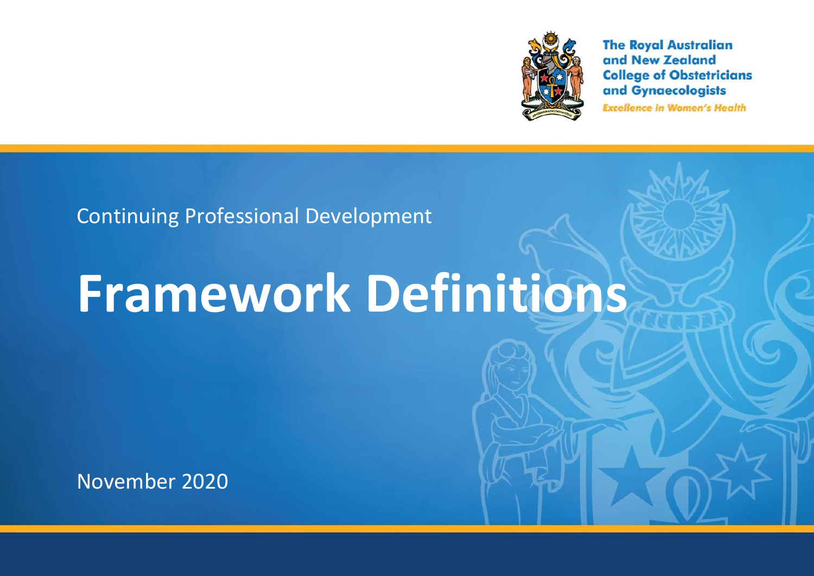

**The Royal Australian** and New Zealand **College of Obstetricians** and Gynaecologists **Excellence in Women's Health** 

# Continuing Professional Development

# **Framework Definitions**

November 2020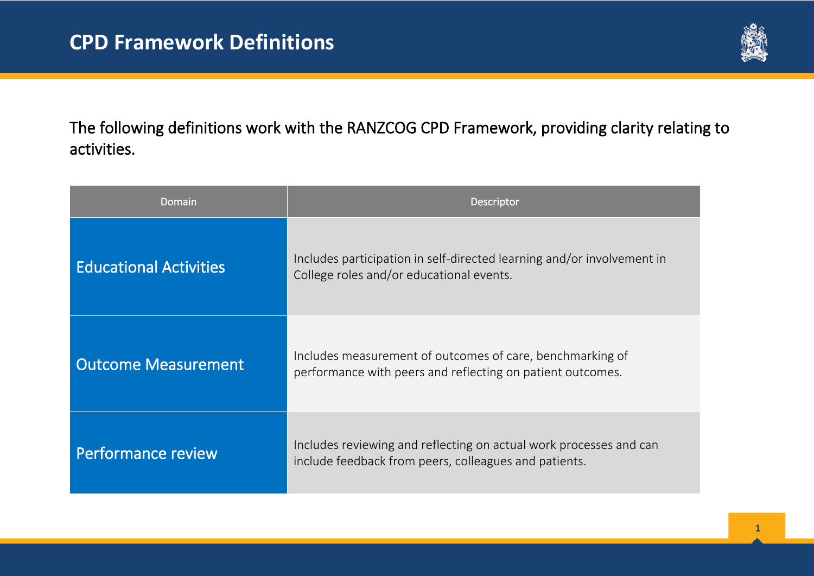

The following definitions work with the RANZCOG CPD Framework, providing clarity relating to activities.

| Domain                        | Descriptor                                                                                                                  |
|-------------------------------|-----------------------------------------------------------------------------------------------------------------------------|
| <b>Educational Activities</b> | Includes participation in self-directed learning and/or involvement in<br>College roles and/or educational events.          |
| <b>Outcome Measurement</b>    | Includes measurement of outcomes of care, benchmarking of<br>performance with peers and reflecting on patient outcomes.     |
| <b>Performance review</b>     | Includes reviewing and reflecting on actual work processes and can<br>include feedback from peers, colleagues and patients. |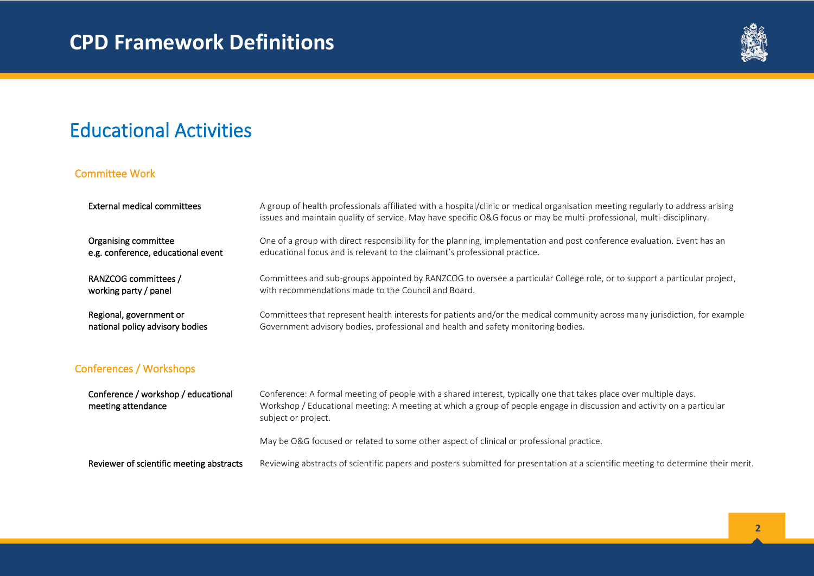

### Educational Activities

#### Committee Work

| External medical committees         | A group of health professionals affiliated with a hospital/clinic or medical organisation meeting regularly to address arising<br>issues and maintain quality of service. May have specific O&G focus or may be multi-professional, multi-disciplinary. |
|-------------------------------------|---------------------------------------------------------------------------------------------------------------------------------------------------------------------------------------------------------------------------------------------------------|
| Organising committee                | One of a group with direct responsibility for the planning, implementation and post conference evaluation. Event has an                                                                                                                                 |
| e.g. conference, educational event  | educational focus and is relevant to the claimant's professional practice.                                                                                                                                                                              |
| RANZCOG committees /                | Committees and sub-groups appointed by RANZCOG to oversee a particular College role, or to support a particular project,                                                                                                                                |
| working party / panel               | with recommendations made to the Council and Board.                                                                                                                                                                                                     |
| Regional, government or             | Committees that represent health interests for patients and/or the medical community across many jurisdiction, for example                                                                                                                              |
| national policy advisory bodies     | Government advisory bodies, professional and health and safety monitoring bodies.                                                                                                                                                                       |
| <b>Conferences / Workshops</b>      |                                                                                                                                                                                                                                                         |
| Conference / workshon / educational | Conference: A formal meeting of neonle with a shared interest tynically one that takes nlace over multinle days                                                                                                                                         |

 Conference / workshop / educational meeting attendance Conference: A formal meeting of people with a shared interest, typically one that takes place over multiple days. Workshop / Educational meeting: A meeting at which a group of people engage in discussion and activity on a particular subject or project.

May be O&G focused or related to some other aspect of clinical or professional practice.

Reviewer of scientific meeting abstracts Reviewing abstracts of scientific papers and posters submitted for presentation at a scientific meeting to determine their merit.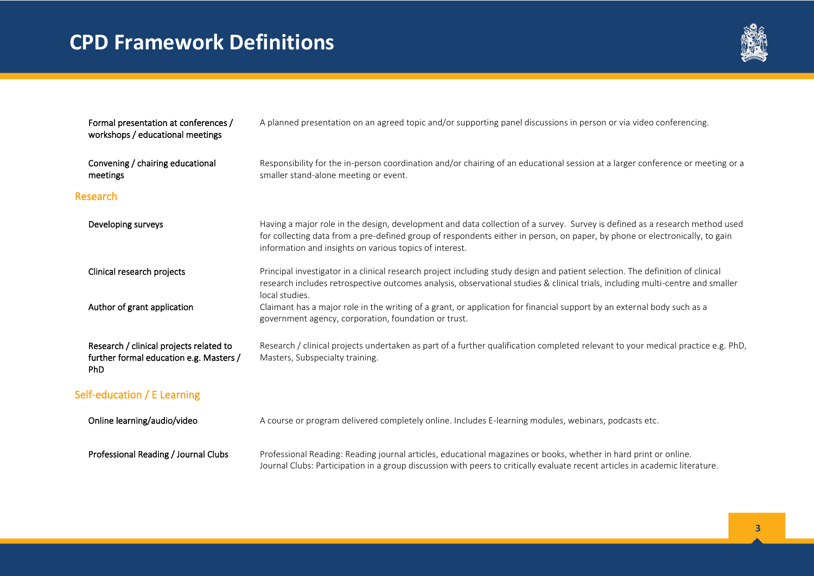

| Formal presentation at conferences /<br>workshops / educational meetings                         | A planned presentation on an agreed topic and/or supporting panel discussions in person or via video conferencing.                                                                                                                                                                                                    |
|--------------------------------------------------------------------------------------------------|-----------------------------------------------------------------------------------------------------------------------------------------------------------------------------------------------------------------------------------------------------------------------------------------------------------------------|
| Convening / chairing educational<br>meetings                                                     | Responsibility for the in-person coordination and/or chairing of an educational session at a larger conference or meeting or a<br>smaller stand-alone meeting or event.                                                                                                                                               |
| Research                                                                                         |                                                                                                                                                                                                                                                                                                                       |
| Developing surveys                                                                               | Having a major role in the design, development and data collection of a survey. Survey is defined as a research method used<br>for collecting data from a pre-defined group of respondents either in person, on paper, by phone or electronically, to gain<br>information and insights on various topics of interest. |
| Clinical research projects                                                                       | Principal investigator in a clinical research project including study design and patient selection. The definition of clinical<br>research includes retrospective outcomes analysis, observational studies & clinical trials, including multi-centre and smaller<br>local studies.                                    |
| Author of grant application                                                                      | Claimant has a major role in the writing of a grant, or application for financial support by an external body such as a<br>government agency, corporation, foundation or trust.                                                                                                                                       |
| Research / clinical projects related to<br>further formal education e.g. Masters /<br><b>PhD</b> | Research / clinical projects undertaken as part of a further qualification completed relevant to your medical practice e.g. PhD,<br>Masters, Subspecialty training.                                                                                                                                                   |
| Self-education / E Learning                                                                      |                                                                                                                                                                                                                                                                                                                       |
| Online learning/audio/video                                                                      | A course or program delivered completely online. Includes E-learning modules, webinars, podcasts etc.                                                                                                                                                                                                                 |
| Professional Reading / Journal Clubs                                                             | Professional Reading: Reading journal articles, educational magazines or books, whether in hard print or online.<br>Journal Clubs: Participation in a group discussion with peers to critically evaluate recent articles in academic literature.                                                                      |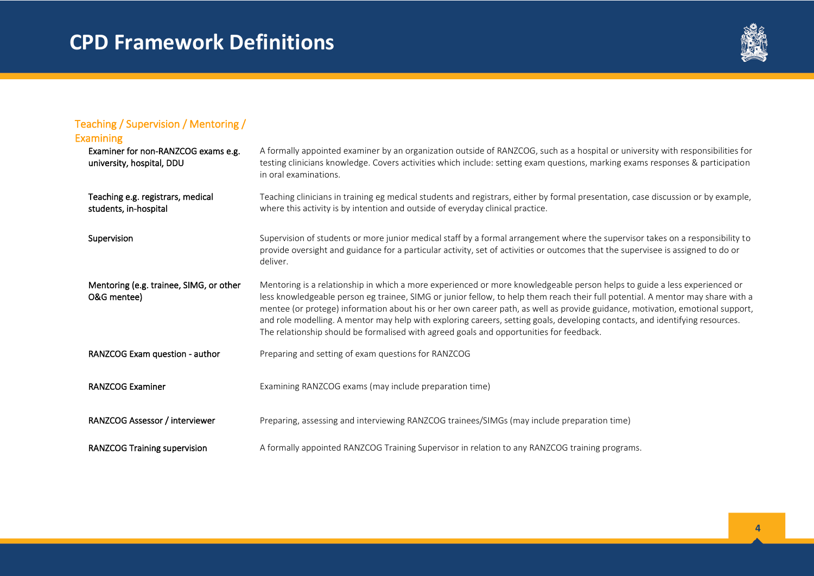

| Teaching / Supervision / Mentoring /<br><b>Examining</b>         |                                                                                                                                                                                                                                                                                                                                                                                                                                                                                                                                                                                                                          |
|------------------------------------------------------------------|--------------------------------------------------------------------------------------------------------------------------------------------------------------------------------------------------------------------------------------------------------------------------------------------------------------------------------------------------------------------------------------------------------------------------------------------------------------------------------------------------------------------------------------------------------------------------------------------------------------------------|
| Examiner for non-RANZCOG exams e.g.<br>university, hospital, DDU | A formally appointed examiner by an organization outside of RANZCOG, such as a hospital or university with responsibilities for<br>testing clinicians knowledge. Covers activities which include: setting exam questions, marking exams responses & participation<br>in oral examinations.                                                                                                                                                                                                                                                                                                                               |
| Teaching e.g. registrars, medical<br>students, in-hospital       | Teaching clinicians in training eg medical students and registrars, either by formal presentation, case discussion or by example,<br>where this activity is by intention and outside of everyday clinical practice.                                                                                                                                                                                                                                                                                                                                                                                                      |
| Supervision                                                      | Supervision of students or more junior medical staff by a formal arrangement where the supervisor takes on a responsibility to<br>provide oversight and guidance for a particular activity, set of activities or outcomes that the supervisee is assigned to do or<br>deliver.                                                                                                                                                                                                                                                                                                                                           |
| Mentoring (e.g. trainee, SIMG, or other<br>O&G mentee)           | Mentoring is a relationship in which a more experienced or more knowledgeable person helps to guide a less experienced or<br>less knowledgeable person eg trainee, SIMG or junior fellow, to help them reach their full potential. A mentor may share with a<br>mentee (or protege) information about his or her own career path, as well as provide guidance, motivation, emotional support,<br>and role modelling. A mentor may help with exploring careers, setting goals, developing contacts, and identifying resources.<br>The relationship should be formalised with agreed goals and opportunities for feedback. |
| RANZCOG Exam question - author                                   | Preparing and setting of exam questions for RANZCOG                                                                                                                                                                                                                                                                                                                                                                                                                                                                                                                                                                      |
| <b>RANZCOG Examiner</b>                                          | Examining RANZCOG exams (may include preparation time)                                                                                                                                                                                                                                                                                                                                                                                                                                                                                                                                                                   |
| RANZCOG Assessor / interviewer                                   | Preparing, assessing and interviewing RANZCOG trainees/SIMGs (may include preparation time)                                                                                                                                                                                                                                                                                                                                                                                                                                                                                                                              |
| <b>RANZCOG Training supervision</b>                              | A formally appointed RANZCOG Training Supervisor in relation to any RANZCOG training programs.                                                                                                                                                                                                                                                                                                                                                                                                                                                                                                                           |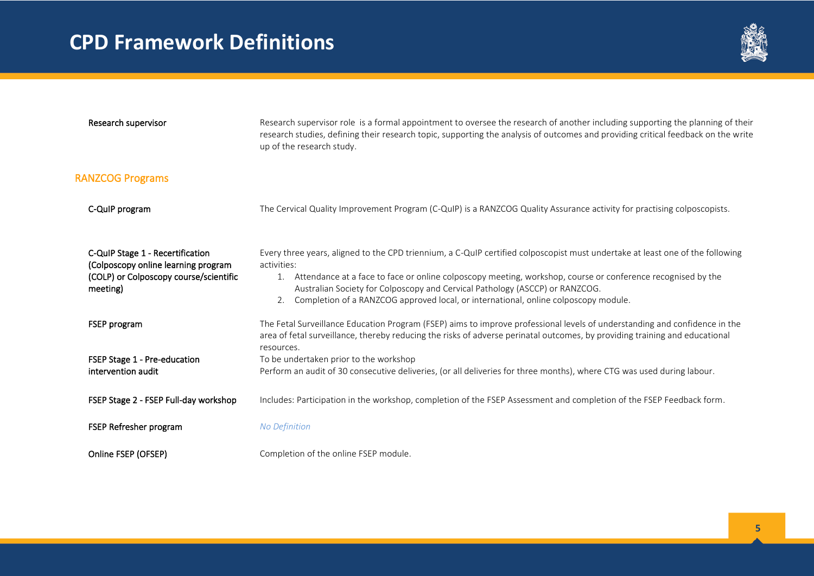

| Research supervisor                                                                                                           | Research supervisor role is a formal appointment to oversee the research of another including supporting the planning of their<br>research studies, defining their research topic, supporting the analysis of outcomes and providing critical feedback on the write<br>up of the research study.                                                                                                                                            |
|-------------------------------------------------------------------------------------------------------------------------------|---------------------------------------------------------------------------------------------------------------------------------------------------------------------------------------------------------------------------------------------------------------------------------------------------------------------------------------------------------------------------------------------------------------------------------------------|
| <b>RANZCOG Programs</b>                                                                                                       |                                                                                                                                                                                                                                                                                                                                                                                                                                             |
| C-QuIP program                                                                                                                | The Cervical Quality Improvement Program (C-QuIP) is a RANZCOG Quality Assurance activity for practising colposcopists.                                                                                                                                                                                                                                                                                                                     |
| C-QuIP Stage 1 - Recertification<br>(Colposcopy online learning program<br>(COLP) or Colposcopy course/scientific<br>meeting) | Every three years, aligned to the CPD triennium, a C-QuIP certified colposcopist must undertake at least one of the following<br>activities:<br>1. Attendance at a face to face or online colposcopy meeting, workshop, course or conference recognised by the<br>Australian Society for Colposcopy and Cervical Pathology (ASCCP) or RANZCOG.<br>Completion of a RANZCOG approved local, or international, online colposcopy module.<br>2. |
| <b>FSEP</b> program                                                                                                           | The Fetal Surveillance Education Program (FSEP) aims to improve professional levels of understanding and confidence in the<br>area of fetal surveillance, thereby reducing the risks of adverse perinatal outcomes, by providing training and educational<br>resources.                                                                                                                                                                     |
| FSEP Stage 1 - Pre-education<br>intervention audit                                                                            | To be undertaken prior to the workshop<br>Perform an audit of 30 consecutive deliveries, (or all deliveries for three months), where CTG was used during labour.                                                                                                                                                                                                                                                                            |
| FSEP Stage 2 - FSEP Full-day workshop                                                                                         | Includes: Participation in the workshop, completion of the FSEP Assessment and completion of the FSEP Feedback form.                                                                                                                                                                                                                                                                                                                        |
| FSEP Refresher program                                                                                                        | <b>No Definition</b>                                                                                                                                                                                                                                                                                                                                                                                                                        |
| Online FSEP (OFSEP)                                                                                                           | Completion of the online FSEP module.                                                                                                                                                                                                                                                                                                                                                                                                       |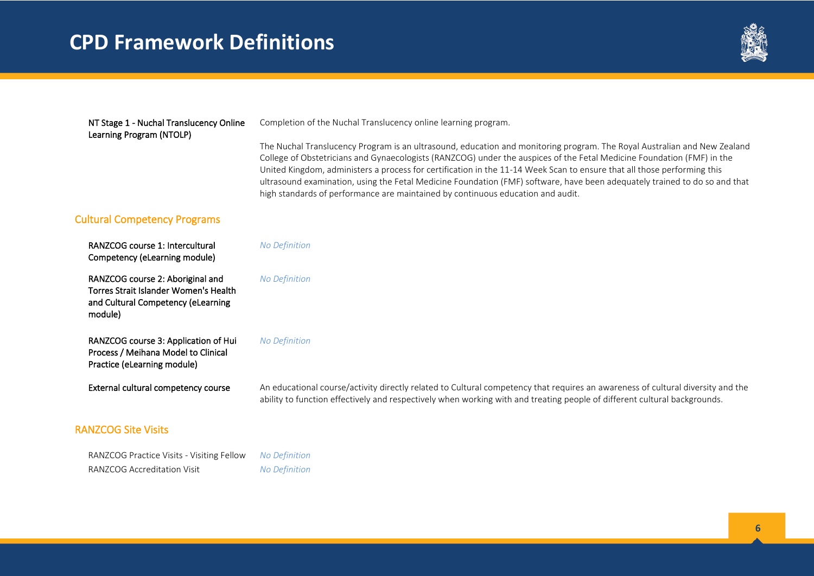

#### NT Stage 1 - Nuchal Translucency Online Learning Program (NTOLP)

Completion of the Nuchal Translucency online learning program.

The Nuchal Translucency Program is an ultrasound, education and monitoring program. The Royal Australian and New Zealand College of Obstetricians and Gynaecologists (RANZCOG) under the auspices of the Fetal Medicine Foundation (FMF) in the United Kingdom, administers a process for certification in the 11-14 Week Scan to ensure that all those performing this ultrasound examination, using the Fetal Medicine Foundation (FMF) software, have been adequately trained to do so and that high standards of performance are maintained by continuous education and audit.

#### Cultural Competency Programs

 RANZCOG course 1: Intercultural Competency (eLearning module)

 RANZCOG course 2: Aboriginal and Torres Strait Islander Women's Health and Cultural Competency (eLearning module)

 RANZCOG course 3: Application of Hui Process / Meihana Model to Clinical Practice (eLearning module)

#### RANZCOG Site Visits

 RANZCOG Practice Visits - Visiting Fellow *No Definition*  RANZCOG Accreditation Visit *No Definition* 

*No Definition* 

*No Definition* 

#### *No Definition*

External cultural competency course An educational course/activity directly related to Cultural competency that requires an awareness of cultural diversity and the ability to function effectively and respectively when working with and treating people of different cultural backgrounds.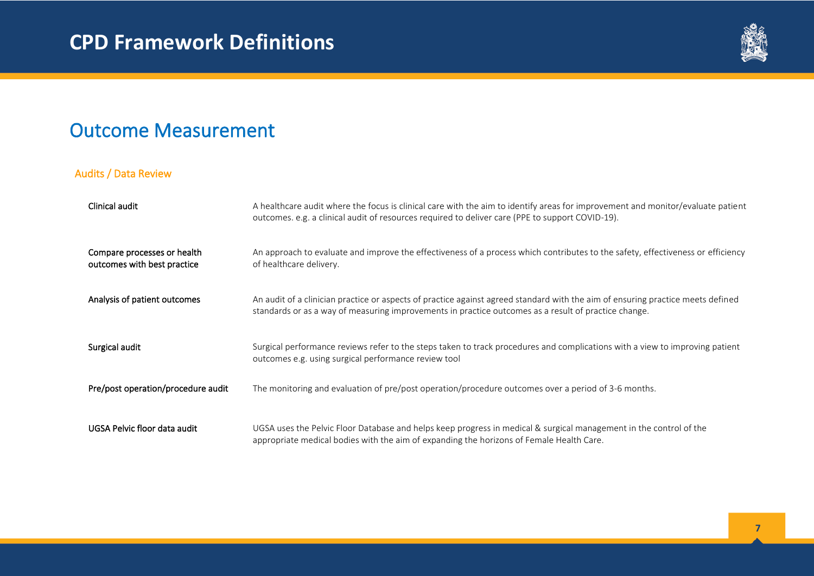

### Outcome Measurement

#### Audits / Data Review

| Clinical audit                                             | A healthcare audit where the focus is clinical care with the aim to identify areas for improvement and monitor/evaluate patient<br>outcomes. e.g. a clinical audit of resources required to deliver care (PPE to support COVID-19).     |
|------------------------------------------------------------|-----------------------------------------------------------------------------------------------------------------------------------------------------------------------------------------------------------------------------------------|
| Compare processes or health<br>outcomes with best practice | An approach to evaluate and improve the effectiveness of a process which contributes to the safety, effectiveness or efficiency<br>of healthcare delivery.                                                                              |
| Analysis of patient outcomes                               | An audit of a clinician practice or aspects of practice against agreed standard with the aim of ensuring practice meets defined<br>standards or as a way of measuring improvements in practice outcomes as a result of practice change. |
| Surgical audit                                             | Surgical performance reviews refer to the steps taken to track procedures and complications with a view to improving patient<br>outcomes e.g. using surgical performance review tool                                                    |
| Pre/post operation/procedure audit                         | The monitoring and evaluation of pre/post operation/procedure outcomes over a period of 3-6 months.                                                                                                                                     |
| UGSA Pelvic floor data audit                               | UGSA uses the Pelvic Floor Database and helps keep progress in medical & surgical management in the control of the<br>appropriate medical bodies with the aim of expanding the horizons of Female Health Care.                          |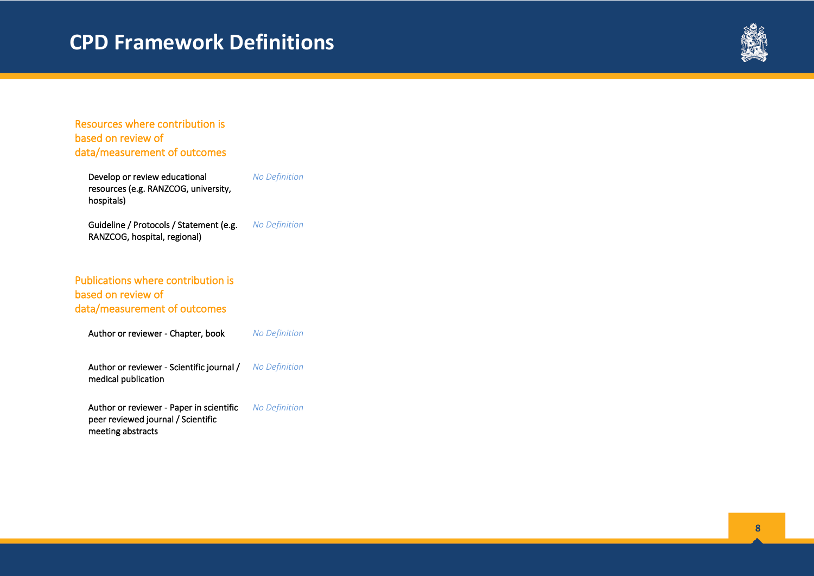

Resources where contribution is based on review of data/measurement of outcomes

 Develop or review educational resources (e.g. RANZCOG, university, hospitals) *No Definition* 

 Guideline / Protocols / Statement (e.g. RANZCOG, hospital, regional) *No Definition* 

#### Publications where contribution is based on review of data/measurement of outcomes

Author or reviewer - Chapter, book *No Definition* 

 Author or reviewer - Scientific journal / medical publication *No Definition* 

 Author or reviewer - Paper in scientific peer reviewed journal / Scientific meeting abstracts *No Definition*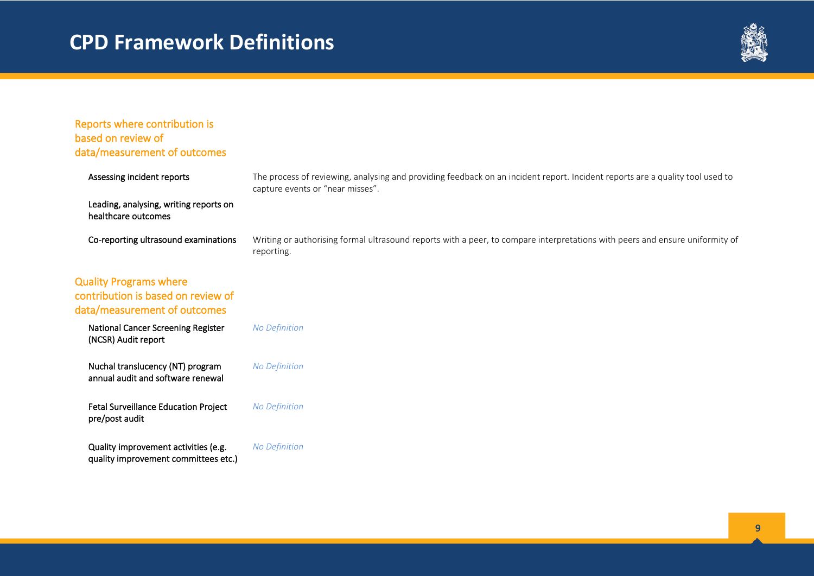

| Reports where contribution is<br>based on review of<br>data/measurement of outcomes                 |                                                                                                                                                                   |
|-----------------------------------------------------------------------------------------------------|-------------------------------------------------------------------------------------------------------------------------------------------------------------------|
| Assessing incident reports                                                                          | The process of reviewing, analysing and providing feedback on an incident report. Incident reports are a quality tool used to<br>capture events or "near misses". |
| Leading, analysing, writing reports on<br>healthcare outcomes                                       |                                                                                                                                                                   |
| Co-reporting ultrasound examinations                                                                | Writing or authorising formal ultrasound reports with a peer, to compare interpretations with peers and ensure uniformity of<br>reporting.                        |
| <b>Quality Programs where</b><br>contribution is based on review of<br>data/measurement of outcomes |                                                                                                                                                                   |
| National Cancer Screening Register<br>(NCSR) Audit report                                           | <b>No Definition</b>                                                                                                                                              |
| Nuchal translucency (NT) program<br>annual audit and software renewal                               | <b>No Definition</b>                                                                                                                                              |
| <b>Fetal Surveillance Education Project</b><br>pre/post audit                                       | <b>No Definition</b>                                                                                                                                              |
| Quality improvement activities (e.g.<br>quality improvement committees etc.)                        | <b>No Definition</b>                                                                                                                                              |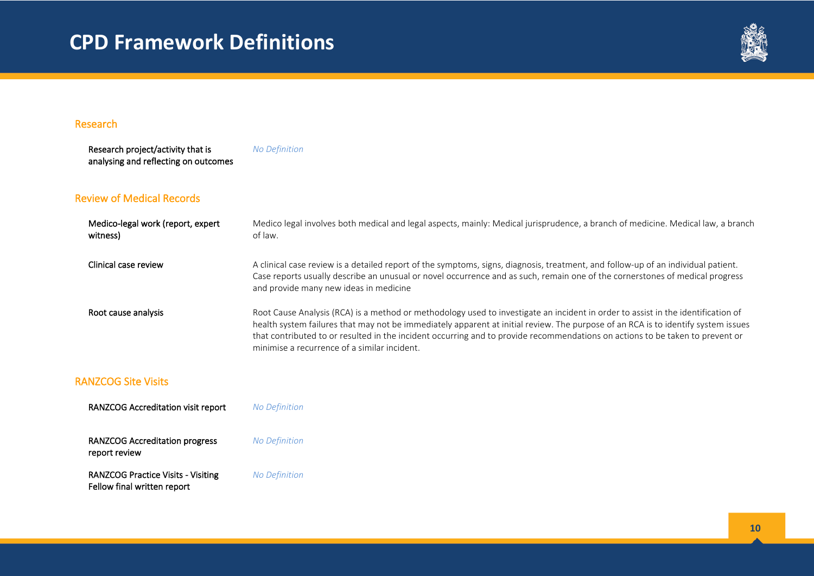

#### Research

 Research project/activity that is analysing and reflecting on outcomes *No Definition*

#### Review of Medical Records

| Medico-legal work (report, expert<br>witness) | Medico legal involves both medical and legal aspects, mainly: Medical jurisprudence, a branch of medicine. Medical law, a branch<br>of law.                                                                                                                                                                                                                                                                                                            |
|-----------------------------------------------|--------------------------------------------------------------------------------------------------------------------------------------------------------------------------------------------------------------------------------------------------------------------------------------------------------------------------------------------------------------------------------------------------------------------------------------------------------|
| Clinical case review                          | A clinical case review is a detailed report of the symptoms, signs, diagnosis, treatment, and follow-up of an individual patient.<br>Case reports usually describe an unusual or novel occurrence and as such, remain one of the cornerstones of medical progress<br>and provide many new ideas in medicine                                                                                                                                            |
| Root cause analysis                           | Root Cause Analysis (RCA) is a method or methodology used to investigate an incident in order to assist in the identification of<br>health system failures that may not be immediately apparent at initial review. The purpose of an RCA is to identify system issues<br>that contributed to or resulted in the incident occurring and to provide recommendations on actions to be taken to prevent or<br>minimise a recurrence of a similar incident. |

#### RANZCOG Site Visits

| <b>RANZCOG Accreditation visit report</b>                                | <b>No Definition</b> |
|--------------------------------------------------------------------------|----------------------|
| <b>RANZCOG Accreditation progress</b><br>report review                   | <b>No Definition</b> |
| <b>RANZCOG Practice Visits - Visiting</b><br>Fellow final written report | <b>No Definition</b> |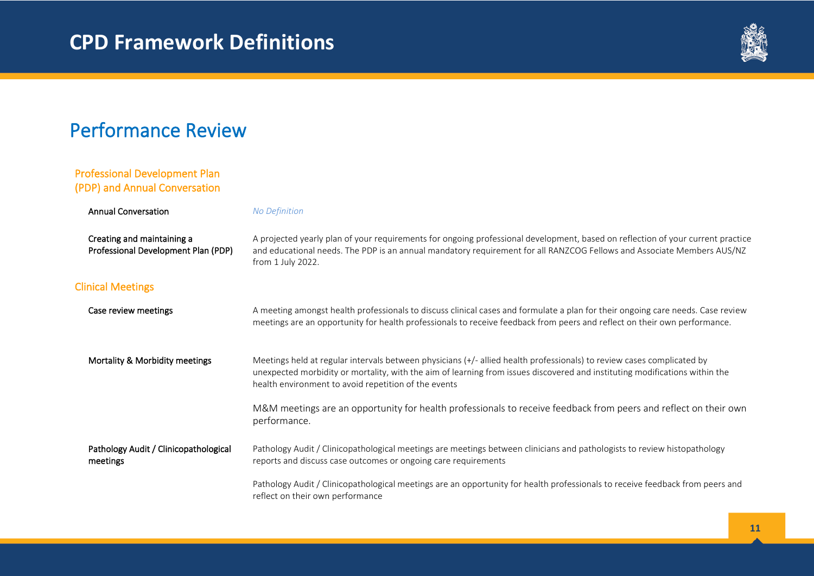

### Performance Review

#### Professional Development Plan (PDP) and Annual Conversation

| <b>Annual Conversation</b>                                        | <b>No Definition</b>                                                                                                                                                                                                                                                                                          |
|-------------------------------------------------------------------|---------------------------------------------------------------------------------------------------------------------------------------------------------------------------------------------------------------------------------------------------------------------------------------------------------------|
| Creating and maintaining a<br>Professional Development Plan (PDP) | A projected yearly plan of your requirements for ongoing professional development, based on reflection of your current practice<br>and educational needs. The PDP is an annual mandatory requirement for all RANZCOG Fellows and Associate Members AUS/NZ<br>from 1 July 2022.                                |
| <b>Clinical Meetings</b>                                          |                                                                                                                                                                                                                                                                                                               |
| Case review meetings                                              | A meeting amongst health professionals to discuss clinical cases and formulate a plan for their ongoing care needs. Case review<br>meetings are an opportunity for health professionals to receive feedback from peers and reflect on their own performance.                                                  |
| Mortality & Morbidity meetings                                    | Meetings held at regular intervals between physicians (+/- allied health professionals) to review cases complicated by<br>unexpected morbidity or mortality, with the aim of learning from issues discovered and instituting modifications within the<br>health environment to avoid repetition of the events |
|                                                                   | M&M meetings are an opportunity for health professionals to receive feedback from peers and reflect on their own<br>performance.                                                                                                                                                                              |
| Pathology Audit / Clinicopathological<br>meetings                 | Pathology Audit / Clinicopathological meetings are meetings between clinicians and pathologists to review histopathology<br>reports and discuss case outcomes or ongoing care requirements                                                                                                                    |
|                                                                   | Pathology Audit / Clinicopathological meetings are an opportunity for health professionals to receive feedback from peers and<br>reflect on their own performance                                                                                                                                             |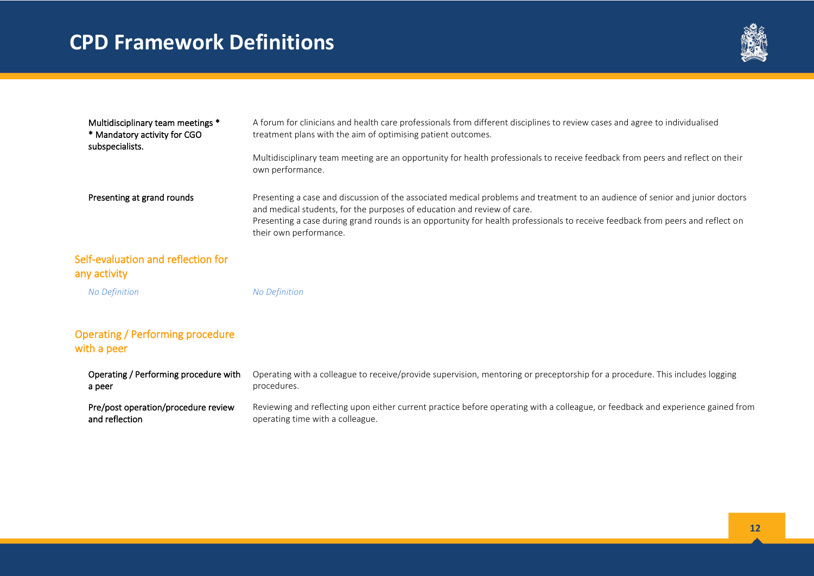

| Multidisciplinary team meetings *                     | A forum for clinicians and health care professionals from different disciplines to review cases and agree to individualised                                                                                                                                                                                                                |
|-------------------------------------------------------|--------------------------------------------------------------------------------------------------------------------------------------------------------------------------------------------------------------------------------------------------------------------------------------------------------------------------------------------|
| * Mandatory activity for CGO<br>subspecialists.       | treatment plans with the aim of optimising patient outcomes.                                                                                                                                                                                                                                                                               |
|                                                       | Multidisciplinary team meeting are an opportunity for health professionals to receive feedback from peers and reflect on their<br>own performance.                                                                                                                                                                                         |
| Presenting at grand rounds                            | Presenting a case and discussion of the associated medical problems and treatment to an audience of senior and junior doctors<br>and medical students, for the purposes of education and review of care.<br>Presenting a case during grand rounds is an opportunity for health professionals to receive feedback from peers and reflect on |
|                                                       | their own performance.                                                                                                                                                                                                                                                                                                                     |
| Self-evaluation and reflection for                    |                                                                                                                                                                                                                                                                                                                                            |
| any activity                                          |                                                                                                                                                                                                                                                                                                                                            |
| <b>No Definition</b>                                  | <b>No Definition</b>                                                                                                                                                                                                                                                                                                                       |
| <b>Operating / Performing procedure</b>               |                                                                                                                                                                                                                                                                                                                                            |
| with a peer                                           |                                                                                                                                                                                                                                                                                                                                            |
| Operating / Performing procedure with<br>a peer       | Operating with a colleague to receive/provide supervision, mentoring or preceptorship for a procedure. This includes logging<br>procedures.                                                                                                                                                                                                |
| Pre/post operation/procedure review<br>and reflection | Reviewing and reflecting upon either current practice before operating with a colleague, or feedback and experience gained from<br>operating time with a colleague.                                                                                                                                                                        |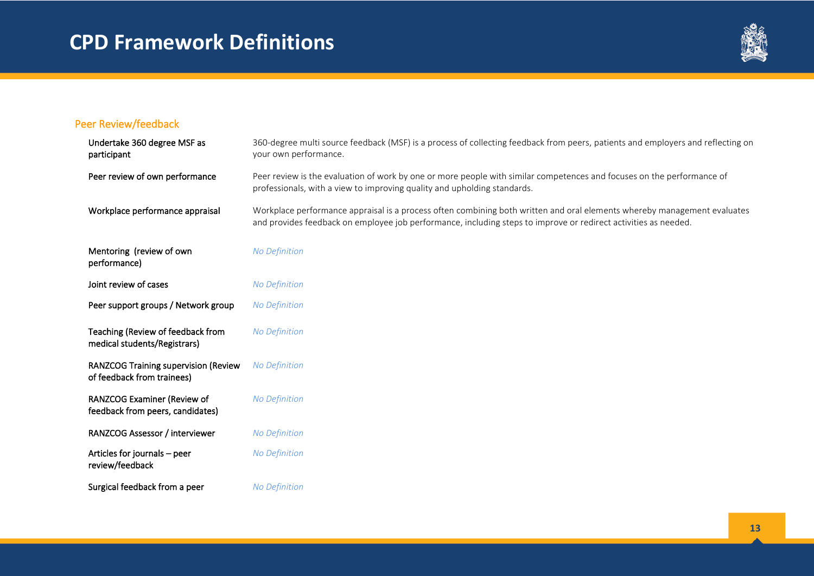

#### Peer Review/feedback

| Undertake 360 degree MSF as<br>participant                                | 360-degree multi source feedback (MSF) is a process of collecting feedback from peers, patients and employers and reflecting on<br>your own performance.                                                                                    |
|---------------------------------------------------------------------------|---------------------------------------------------------------------------------------------------------------------------------------------------------------------------------------------------------------------------------------------|
| Peer review of own performance                                            | Peer review is the evaluation of work by one or more people with similar competences and focuses on the performance of<br>professionals, with a view to improving quality and upholding standards.                                          |
| Workplace performance appraisal                                           | Workplace performance appraisal is a process often combining both written and oral elements whereby management evaluates<br>and provides feedback on employee job performance, including steps to improve or redirect activities as needed. |
| Mentoring (review of own<br>performance)                                  | No Definition                                                                                                                                                                                                                               |
| Joint review of cases                                                     | No Definition                                                                                                                                                                                                                               |
| Peer support groups / Network group                                       | <b>No Definition</b>                                                                                                                                                                                                                        |
| Teaching (Review of feedback from<br>medical students/Registrars)         | <b>No Definition</b>                                                                                                                                                                                                                        |
| <b>RANZCOG Training supervision (Review</b><br>of feedback from trainees) | <b>No Definition</b>                                                                                                                                                                                                                        |
| RANZCOG Examiner (Review of<br>feedback from peers, candidates)           | No Definition                                                                                                                                                                                                                               |
| RANZCOG Assessor / interviewer                                            | No Definition                                                                                                                                                                                                                               |
| Articles for journals - peer<br>review/feedback                           | <b>No Definition</b>                                                                                                                                                                                                                        |
| Surgical feedback from a peer                                             | <b>No Definition</b>                                                                                                                                                                                                                        |